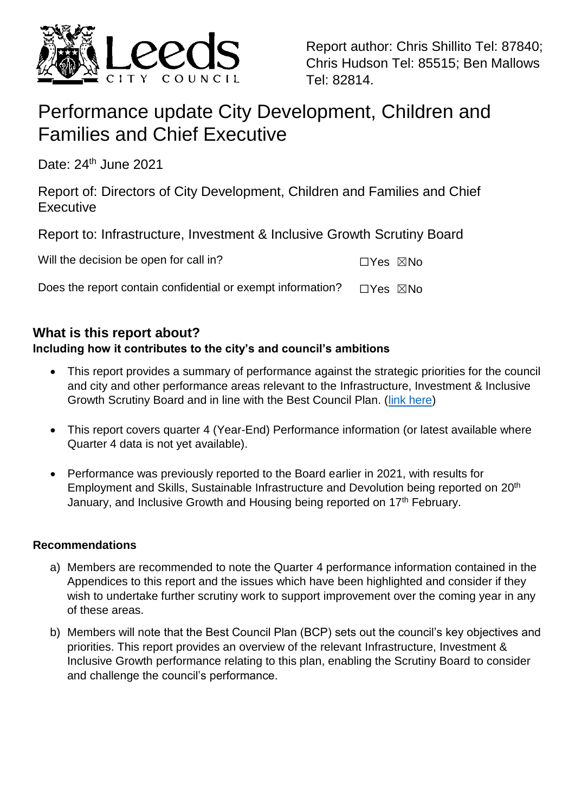

Report author: Chris Shillito Tel: 87840; Chris Hudson Tel: 85515; Ben Mallows Tel: 82814.

# Performance update City Development, Children and Families and Chief Executive

Date: 24<sup>th</sup> June 2021

Report of: Directors of City Development, Children and Families and Chief **Executive** 

Report to: Infrastructure, Investment & Inclusive Growth Scrutiny Board

| Will the decision be open for call in?                      | ⊡Yes ⊠No |  |
|-------------------------------------------------------------|----------|--|
| Does the report contain confidential or exempt information? | □Yes ⊠No |  |

## **What is this report about?**

## **Including how it contributes to the city's and council's ambitions**

- This report provides a summary of performance against the strategic priorities for the council and city and other performance areas relevant to the Infrastructure, Investment & Inclusive Growth Scrutiny Board and in line with the Best Council Plan. [\(link here\)](https://www.leeds.gov.uk/docs/BCP%202020-2025.pdf)
- This report covers quarter 4 (Year-End) Performance information (or latest available where Quarter 4 data is not yet available).
- Performance was previously reported to the Board earlier in 2021, with results for Employment and Skills, Sustainable Infrastructure and Devolution being reported on 20th January, and Inclusive Growth and Housing being reported on 17<sup>th</sup> February.

## **Recommendations**

- a) Members are recommended to note the Quarter 4 performance information contained in the Appendices to this report and the issues which have been highlighted and consider if they wish to undertake further scrutiny work to support improvement over the coming year in any of these areas.
- b) Members will note that the Best Council Plan (BCP) sets out the council's key objectives and priorities. This report provides an overview of the relevant Infrastructure, Investment & Inclusive Growth performance relating to this plan, enabling the Scrutiny Board to consider and challenge the council's performance.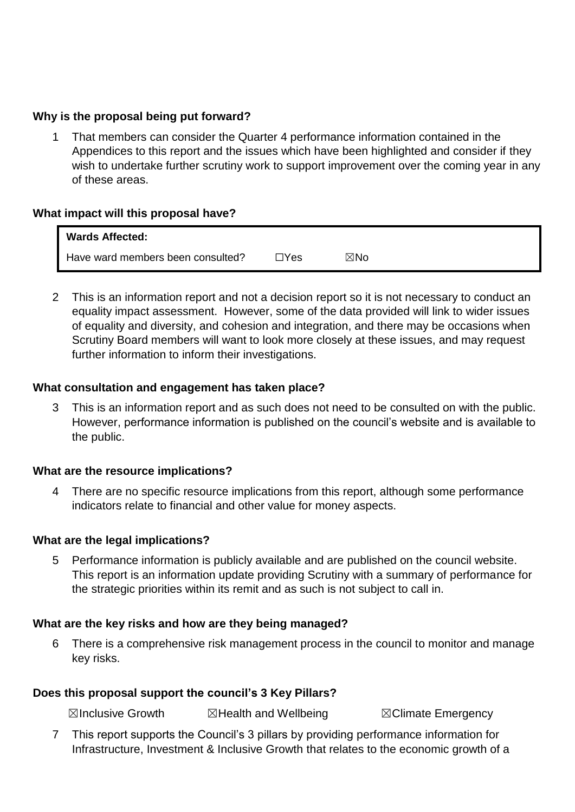#### **Why is the proposal being put forward?**

1 That members can consider the Quarter 4 performance information contained in the Appendices to this report and the issues which have been highlighted and consider if they wish to undertake further scrutiny work to support improvement over the coming year in any of these areas.

#### **What impact will this proposal have?**

| <b>Wards Affected:</b>            |      |     |
|-----------------------------------|------|-----|
| Have ward members been consulted? | ∏Yes | ⊠No |

2 This is an information report and not a decision report so it is not necessary to conduct an equality impact assessment. However, some of the data provided will link to wider issues of equality and diversity, and cohesion and integration, and there may be occasions when Scrutiny Board members will want to look more closely at these issues, and may request further information to inform their investigations.

#### **What consultation and engagement has taken place?**

3 This is an information report and as such does not need to be consulted on with the public. However, performance information is published on the council's website and is available to the public.

#### **What are the resource implications?**

4 There are no specific resource implications from this report, although some performance indicators relate to financial and other value for money aspects.

#### **What are the legal implications?**

5 Performance information is publicly available and are published on the council website. This report is an information update providing Scrutiny with a summary of performance for the strategic priorities within its remit and as such is not subject to call in.

#### **What are the key risks and how are they being managed?**

6 There is a comprehensive risk management process in the council to monitor and manage key risks.

#### **Does this proposal support the council's 3 Key Pillars?**

☒Inclusive Growth ☒Health and Wellbeing ☒Climate Emergency

7 This report supports the Council's 3 pillars by providing performance information for Infrastructure, Investment & Inclusive Growth that relates to the economic growth of a